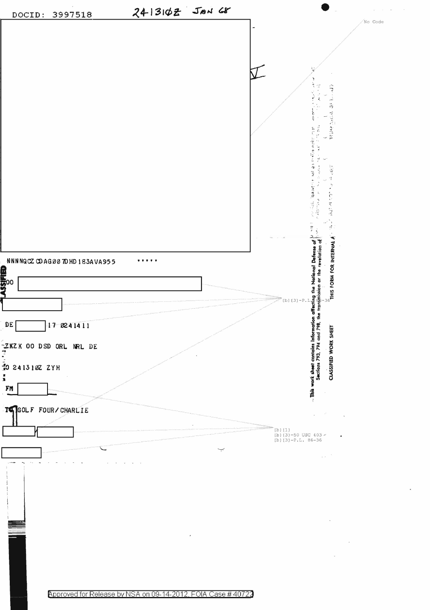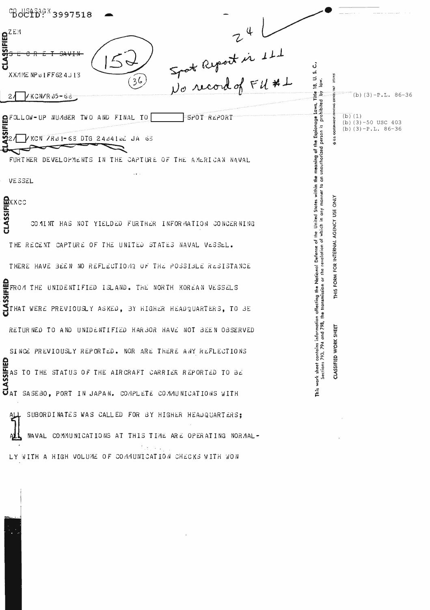| <sup>C</sup> Boc15 <sup>363</sup> 3997518                                                                        |                                                                                                                                       |
|------------------------------------------------------------------------------------------------------------------|---------------------------------------------------------------------------------------------------------------------------------------|
|                                                                                                                  |                                                                                                                                       |
| <b>CLASSIFIED</b><br>Spot Report is 111<br>No record of FU #1<br>XXMMENP01FF624J13                               | 18, U.S.C.                                                                                                                            |
| 36<br>/KCN/R 05-68                                                                                               | (b) $(3)-P.L. 86-36$                                                                                                                  |
| SPOT REPORT<br>EXECUTIVE NUMBER TWO AND FINAL TO<br>VKCN /RO1-63 DTG 2404104 JA 63                               | (b) (1)<br>Espionage<br>$(b)$ (3) -50 USC 403<br>$(b)$ (3) -P.L. 86-36<br>∗                                                           |
| DEVELOPMENTS IN THE CAPTURE OF THE AMERICAN NAVAL<br><b>FURTHER</b><br>$\cdots$                                  | an unauthorized person                                                                                                                |
| <b>VESSEL</b>                                                                                                    |                                                                                                                                       |
| <b>CLASSIFIED</b><br>CLASSIFIED<br>COMINT HAS NOT YIELDED FURTHER INFORMATION CONCERNING                         | United States within the meaning<br><b>ONLY</b><br>USE                                                                                |
| THE RECENT CAPTURE OF THE UNITED STATES NAVAL VESSEL.                                                            | elation of which in any manner to<br>AGENCY                                                                                           |
| THERE HAVE BEEN NO REFLECTIONS OF THE POSSIBLE RESISTANCE                                                        | NTERNAL<br>efense<br>FOR                                                                                                              |
| FROM THE UNIDENTIFIED ISLAND. THE NORTH KOREAN VESSELS                                                           | This work sheet contains information affecting the National D.<br>Sections 793, 794 and 798, the transmission or the rev<br>THIS FORM |
| STHAT WERE PREVIOUSLY ASKED, BY HIGHER HEADQUARTERS, TO BE                                                       |                                                                                                                                       |
| RETURNED TO AND UNIDENTIFIED HARBOR HAVE NOT BEEN OBSERVED                                                       | <b>WORK</b>                                                                                                                           |
| SINCE PREVIOUSLY REPORTED. NOR ARE THERE ANY REFLECTIONS<br>TO THE STATUS OF THE AIRCRAFT CARRIER REPORTED TO BE | CLASSIFIED                                                                                                                            |
| <b>CLASSIFIED</b><br>AT<br>AT<br>SASEBO, PORT IN JAPAN. COMPLETE COMMUNICATIONS WITH                             |                                                                                                                                       |
| SUBORDINATES WAS CALLED FOR BY HIGHER HEADQUARTERS;                                                              |                                                                                                                                       |
| NAVAL COMMUNICATIONS AT THIS TIME ARE OPERATING NORMAL-                                                          |                                                                                                                                       |

ALL NAVAL COMMUNICATIONS AT THIS TIME ARE OPERATING NOR<br>LY WITH A HIGH VOLUME OF COMMUNICATION CHECKS WITH WON

 $\sim$